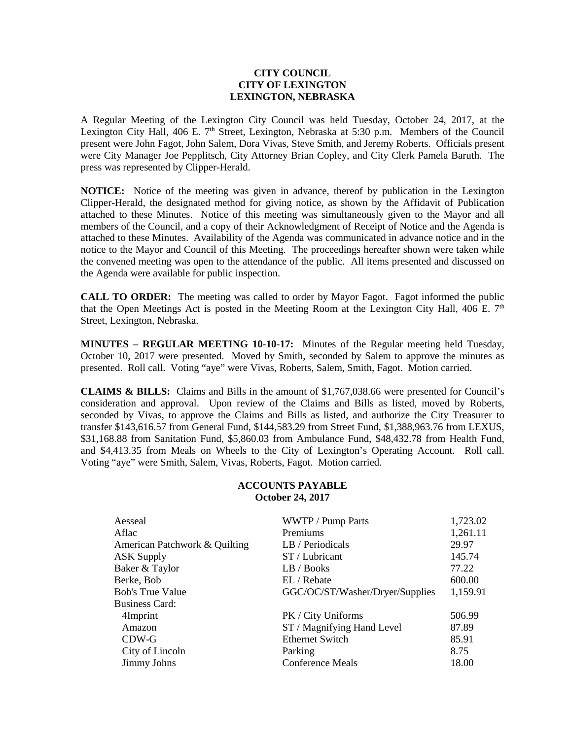## **CITY COUNCIL CITY OF LEXINGTON LEXINGTON, NEBRASKA**

A Regular Meeting of the Lexington City Council was held Tuesday, October 24, 2017, at the Lexington City Hall, 406 E.  $7<sup>th</sup>$  Street, Lexington, Nebraska at 5:30 p.m. Members of the Council present were John Fagot, John Salem, Dora Vivas, Steve Smith, and Jeremy Roberts. Officials present were City Manager Joe Pepplitsch, City Attorney Brian Copley, and City Clerk Pamela Baruth. The press was represented by Clipper-Herald.

**NOTICE:** Notice of the meeting was given in advance, thereof by publication in the Lexington Clipper-Herald, the designated method for giving notice, as shown by the Affidavit of Publication attached to these Minutes. Notice of this meeting was simultaneously given to the Mayor and all members of the Council, and a copy of their Acknowledgment of Receipt of Notice and the Agenda is attached to these Minutes. Availability of the Agenda was communicated in advance notice and in the notice to the Mayor and Council of this Meeting. The proceedings hereafter shown were taken while the convened meeting was open to the attendance of the public. All items presented and discussed on the Agenda were available for public inspection.

**CALL TO ORDER:** The meeting was called to order by Mayor Fagot. Fagot informed the public that the Open Meetings Act is posted in the Meeting Room at the Lexington City Hall, 406 E.  $7<sup>th</sup>$ Street, Lexington, Nebraska.

**MINUTES – REGULAR MEETING 10-10-17:** Minutes of the Regular meeting held Tuesday, October 10, 2017 were presented. Moved by Smith, seconded by Salem to approve the minutes as presented. Roll call. Voting "aye" were Vivas, Roberts, Salem, Smith, Fagot. Motion carried.

**CLAIMS & BILLS:** Claims and Bills in the amount of \$1,767,038.66 were presented for Council's consideration and approval. Upon review of the Claims and Bills as listed, moved by Roberts, seconded by Vivas, to approve the Claims and Bills as listed, and authorize the City Treasurer to transfer \$143,616.57 from General Fund, \$144,583.29 from Street Fund, \$1,388,963.76 from LEXUS, \$31,168.88 from Sanitation Fund, \$5,860.03 from Ambulance Fund, \$48,432.78 from Health Fund, and \$4,413.35 from Meals on Wheels to the City of Lexington's Operating Account. Roll call. Voting "aye" were Smith, Salem, Vivas, Roberts, Fagot. Motion carried.

## **ACCOUNTS PAYABLE October 24, 2017**

| Aesseal                       | WWTP / Pump Parts               | 1,723.02 |
|-------------------------------|---------------------------------|----------|
| Aflac                         | Premiums                        | 1,261.11 |
| American Patchwork & Quilting | LB / Periodicals                | 29.97    |
| ASK Supply                    | ST / Lubricant                  | 145.74   |
| Baker & Taylor                | LB / Books                      | 77.22    |
| Berke, Bob                    | EL / Rebate                     | 600.00   |
| <b>Bob's True Value</b>       | GGC/OC/ST/Washer/Dryer/Supplies | 1,159.91 |
| <b>Business Card:</b>         |                                 |          |
| 4Imprint                      | PK / City Uniforms              | 506.99   |
| Amazon                        | ST / Magnifying Hand Level      | 87.89    |
| CDW-G                         | <b>Ethernet Switch</b>          | 85.91    |
| City of Lincoln               | Parking                         | 8.75     |
| <b>Jimmy Johns</b>            | <b>Conference Meals</b>         | 18.00    |
|                               |                                 |          |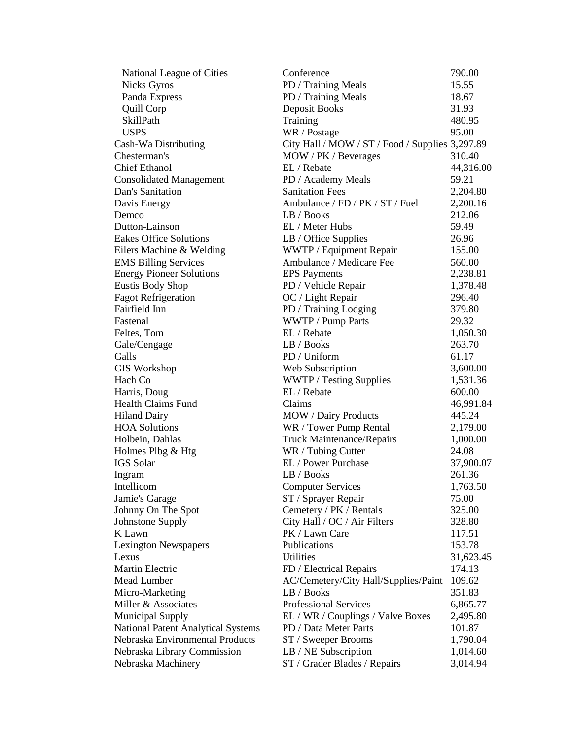| National League of Cities                 | Conference                                      | 790.00    |
|-------------------------------------------|-------------------------------------------------|-----------|
| <b>Nicks Gyros</b>                        | PD / Training Meals                             | 15.55     |
| Panda Express                             | PD / Training Meals                             | 18.67     |
| <b>Quill Corp</b>                         | Deposit Books                                   | 31.93     |
| SkillPath                                 | Training                                        | 480.95    |
| <b>USPS</b>                               | WR / Postage                                    | 95.00     |
| Cash-Wa Distributing                      | City Hall / MOW / ST / Food / Supplies 3,297.89 |           |
| Chesterman's                              | MOW / PK / Beverages                            | 310.40    |
| <b>Chief Ethanol</b>                      | EL / Rebate                                     | 44,316.00 |
| <b>Consolidated Management</b>            | PD / Academy Meals                              | 59.21     |
| Dan's Sanitation                          | <b>Sanitation Fees</b>                          | 2,204.80  |
| Davis Energy                              | Ambulance / FD / PK / ST / Fuel                 | 2,200.16  |
| Demco                                     | LB / Books                                      | 212.06    |
| Dutton-Lainson                            | EL / Meter Hubs                                 | 59.49     |
| <b>Eakes Office Solutions</b>             | LB / Office Supplies                            | 26.96     |
| Eilers Machine & Welding                  | WWTP / Equipment Repair                         | 155.00    |
|                                           | Ambulance / Medicare Fee                        | 560.00    |
| <b>EMS Billing Services</b>               |                                                 |           |
| <b>Energy Pioneer Solutions</b>           | <b>EPS</b> Payments                             | 2,238.81  |
| Eustis Body Shop                          | PD / Vehicle Repair                             | 1,378.48  |
| <b>Fagot Refrigeration</b>                | OC / Light Repair                               | 296.40    |
| Fairfield Inn                             | PD / Training Lodging                           | 379.80    |
| Fastenal                                  | WWTP / Pump Parts                               | 29.32     |
| Feltes, Tom                               | EL / Rebate                                     | 1,050.30  |
| Gale/Cengage                              | LB / Books                                      | 263.70    |
| Galls                                     | PD / Uniform                                    | 61.17     |
| <b>GIS Workshop</b>                       | Web Subscription                                | 3,600.00  |
| Hach Co                                   | WWTP / Testing Supplies                         | 1,531.36  |
| Harris, Doug                              | EL / Rebate                                     | 600.00    |
| <b>Health Claims Fund</b>                 | Claims                                          | 46,991.84 |
| <b>Hiland Dairy</b>                       | <b>MOW</b> / Dairy Products                     | 445.24    |
| <b>HOA Solutions</b>                      | WR / Tower Pump Rental                          | 2,179.00  |
| Holbein, Dahlas                           | <b>Truck Maintenance/Repairs</b>                | 1,000.00  |
| Holmes Plbg & Htg                         | WR / Tubing Cutter                              | 24.08     |
| IGS Solar                                 | EL / Power Purchase                             | 37,900.07 |
| Ingram                                    | LB / Books                                      | 261.36    |
| Intellicom                                | <b>Computer Services</b>                        | 1,763.50  |
| Jamie's Garage                            | ST / Sprayer Repair                             | 75.00     |
| Johnny On The Spot                        | Cemetery / PK / Rentals                         | 325.00    |
| Johnstone Supply                          | City Hall / OC / Air Filters                    | 328.80    |
| K Lawn                                    | PK / Lawn Care                                  | 117.51    |
| <b>Lexington Newspapers</b>               | Publications                                    | 153.78    |
| Lexus                                     | <b>Utilities</b>                                | 31,623.45 |
| Martin Electric                           | FD / Electrical Repairs                         | 174.13    |
| Mead Lumber                               | AC/Cemetery/City Hall/Supplies/Paint            | 109.62    |
| Micro-Marketing                           | LB / Books                                      | 351.83    |
| Miller & Associates                       | <b>Professional Services</b>                    | 6,865.77  |
| <b>Municipal Supply</b>                   | EL / WR / Couplings / Valve Boxes               | 2,495.80  |
| <b>National Patent Analytical Systems</b> | PD / Data Meter Parts                           | 101.87    |
| Nebraska Environmental Products           | ST / Sweeper Brooms                             | 1,790.04  |
| Nebraska Library Commission               | LB / NE Subscription                            | 1,014.60  |
|                                           | ST / Grader Blades / Repairs                    | 3,014.94  |
| Nebraska Machinery                        |                                                 |           |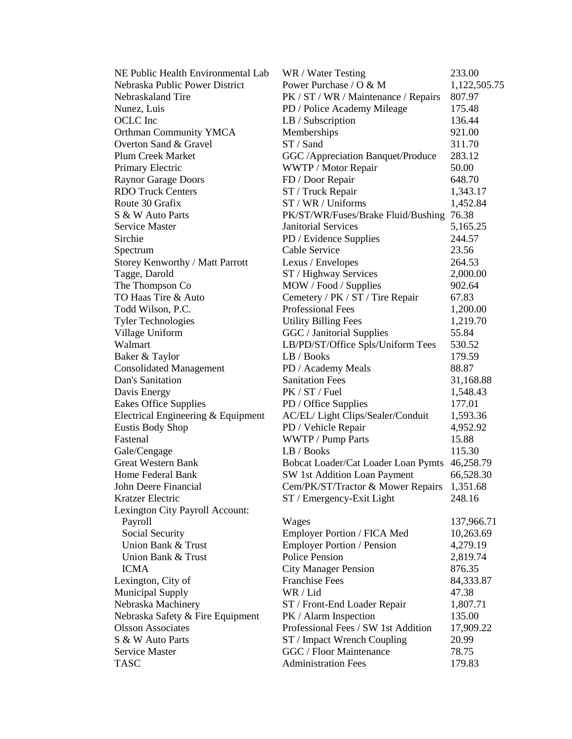| NE Public Health Environmental Lab | WR / Water Testing                         | 233.00       |
|------------------------------------|--------------------------------------------|--------------|
| Nebraska Public Power District     | Power Purchase / O & M                     | 1,122,505.75 |
| Nebraskaland Tire                  | PK / ST / WR / Maintenance / Repairs       | 807.97       |
| Nunez, Luis                        | PD / Police Academy Mileage                | 175.48       |
| OCLC Inc                           | LB / Subscription                          | 136.44       |
| <b>Orthman Community YMCA</b>      | Memberships                                | 921.00       |
| Overton Sand & Gravel              | ST / Sand                                  | 311.70       |
| Plum Creek Market                  | GGC / Appreciation Banquet/Produce         | 283.12       |
| Primary Electric                   | WWTP / Motor Repair                        | 50.00        |
| <b>Raynor Garage Doors</b>         | FD / Door Repair                           | 648.70       |
| <b>RDO Truck Centers</b>           | ST / Truck Repair                          | 1,343.17     |
| Route 30 Grafix                    | ST / WR / Uniforms                         | 1,452.84     |
| S & W Auto Parts                   | PK/ST/WR/Fuses/Brake Fluid/Bushing         | 76.38        |
| <b>Service Master</b>              | <b>Janitorial Services</b>                 | 5,165.25     |
| Sirchie                            | PD / Evidence Supplies                     | 244.57       |
| Spectrum                           | Cable Service                              | 23.56        |
| Storey Kenworthy / Matt Parrott    | Lexus / Envelopes                          | 264.53       |
| Tagge, Darold                      | ST / Highway Services                      | 2,000.00     |
| The Thompson Co                    | MOW / Food / Supplies                      | 902.64       |
| TO Haas Tire & Auto                | Cemetery / PK / ST / Tire Repair           | 67.83        |
| Todd Wilson, P.C.                  | Professional Fees                          | 1,200.00     |
| <b>Tyler Technologies</b>          | <b>Utility Billing Fees</b>                | 1,219.70     |
| Village Uniform                    | GGC / Janitorial Supplies                  | 55.84        |
| Walmart                            | LB/PD/ST/Office Spls/Uniform Tees          | 530.52       |
| Baker & Taylor                     | LB / Books                                 | 179.59       |
| <b>Consolidated Management</b>     | PD / Academy Meals                         | 88.87        |
| Dan's Sanitation                   | <b>Sanitation Fees</b>                     | 31,168.88    |
| Davis Energy                       | PK / ST / Fuel                             | 1,548.43     |
| Eakes Office Supplies              | PD / Office Supplies                       | 177.01       |
| Electrical Engineering & Equipment | AC/EL/ Light Clips/Sealer/Conduit          | 1,593.36     |
| <b>Eustis Body Shop</b>            | PD / Vehicle Repair                        | 4,952.92     |
| Fastenal                           | WWTP / Pump Parts                          | 15.88        |
| Gale/Cengage                       | LB / Books                                 | 115.30       |
| <b>Great Western Bank</b>          | Bobcat Loader/Cat Loader Loan Pymts        | 46,258.79    |
| Home Federal Bank                  | SW 1st Addition Loan Payment               | 66,528.30    |
| John Deere Financial               | Cem/PK/ST/Tractor & Mower Repairs 1,351.68 |              |
| Kratzer Electric                   | ST / Emergency-Exit Light                  | 248.16       |
| Lexington City Payroll Account:    |                                            |              |
| Payroll                            | Wages                                      | 137,966.71   |
| Social Security                    | Employer Portion / FICA Med                | 10,263.69    |
| Union Bank & Trust                 | <b>Employer Portion / Pension</b>          | 4,279.19     |
| Union Bank & Trust                 | <b>Police Pension</b>                      | 2,819.74     |
| <b>ICMA</b>                        | <b>City Manager Pension</b>                | 876.35       |
| Lexington, City of                 | <b>Franchise Fees</b>                      | 84,333.87    |
| <b>Municipal Supply</b>            | WR / Lid                                   | 47.38        |
| Nebraska Machinery                 | ST / Front-End Loader Repair               | 1,807.71     |
| Nebraska Safety & Fire Equipment   | PK / Alarm Inspection                      | 135.00       |
| <b>Olsson Associates</b>           | Professional Fees / SW 1st Addition        | 17,909.22    |
| S & W Auto Parts                   | ST / Impact Wrench Coupling                | 20.99        |
| Service Master                     | <b>GGC</b> / Floor Maintenance             | 78.75        |
| <b>TASC</b>                        | <b>Administration Fees</b>                 | 179.83       |
|                                    |                                            |              |